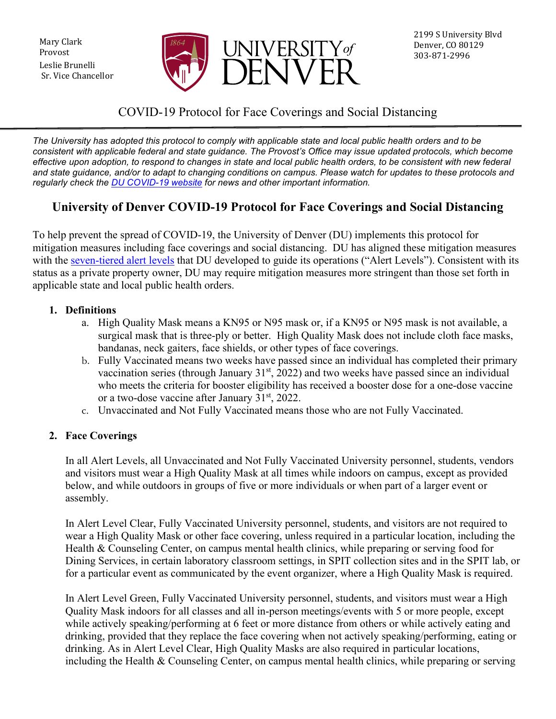Mary Clark Provost Leslie Brunelli Sr. Vice Chancellor



## COVID-19 Protocol for Face Coverings and Social Distancing

*The University has adopted this protocol to comply with applicable state and local public health orders and to be consistent with applicable federal and state guidance. The Provost's Office may issue updated protocols, which become effective upon adoption, to respond to changes in state and local public health orders, to be consistent with new federal and state guidance, and/or to adapt to changing conditions on campus. Please watch for updates to these protocols and regularly check the [DU COVID-19 website](https://www.du.edu/coronavirus) for news and other important information.*

# **University of Denver COVID-19 Protocol for Face Coverings and Social Distancing**

To help prevent the spread of COVID-19, the University of Denver (DU) implements this protocol for mitigation measures including face coverings and social distancing. DU has aligned these mitigation measures with the [seven-tiered alert levels](https://www.du.edu/coronavirus/health-wellness/alert-levels) that DU developed to guide its operations ("Alert Levels"). Consistent with its status as a private property owner, DU may require mitigation measures more stringent than those set forth in applicable state and local public health orders.

#### **1. Definitions**

- a. High Quality Mask means a KN95 or N95 mask or, if a KN95 or N95 mask is not available, a surgical mask that is three-ply or better. High Quality Mask does not include cloth face masks, bandanas, neck gaiters, face shields, or other types of face coverings.
- b. Fully Vaccinated means two weeks have passed since an individual has completed their primary vaccination series (through January  $31<sup>st</sup>$ , 2022) and two weeks have passed since an individual who meets the criteria for booster eligibility has received a booster dose for a one-dose vaccine or a two-dose vaccine after January  $31<sup>st</sup>$ , 2022.
- c. Unvaccinated and Not Fully Vaccinated means those who are not Fully Vaccinated.

#### **2. Face Coverings**

In all Alert Levels, all Unvaccinated and Not Fully Vaccinated University personnel, students, vendors and visitors must wear a High Quality Mask at all times while indoors on campus, except as provided below, and while outdoors in groups of five or more individuals or when part of a larger event or assembly.

In Alert Level Clear, Fully Vaccinated University personnel, students, and visitors are not required to wear a High Quality Mask or other face covering, unless required in a particular location, including the Health & Counseling Center, on campus mental health clinics, while preparing or serving food for Dining Services, in certain laboratory classroom settings, in SPIT collection sites and in the SPIT lab, or for a particular event as communicated by the event organizer, where a High Quality Mask is required.

In Alert Level Green, Fully Vaccinated University personnel, students, and visitors must wear a High Quality Mask indoors for all classes and all in-person meetings/events with 5 or more people, except while actively speaking/performing at 6 feet or more distance from others or while actively eating and drinking, provided that they replace the face covering when not actively speaking/performing, eating or drinking. As in Alert Level Clear, High Quality Masks are also required in particular locations, including the Health & Counseling Center, on campus mental health clinics, while preparing or serving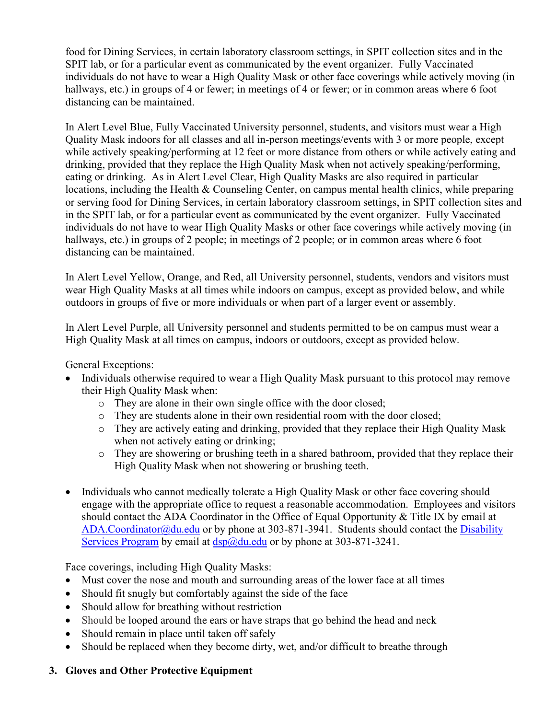food for Dining Services, in certain laboratory classroom settings, in SPIT collection sites and in the SPIT lab, or for a particular event as communicated by the event organizer. Fully Vaccinated individuals do not have to wear a High Quality Mask or other face coverings while actively moving (in hallways, etc.) in groups of 4 or fewer; in meetings of 4 or fewer; or in common areas where 6 foot distancing can be maintained.

In Alert Level Blue, Fully Vaccinated University personnel, students, and visitors must wear a High Quality Mask indoors for all classes and all in-person meetings/events with 3 or more people, except while actively speaking/performing at 12 feet or more distance from others or while actively eating and drinking, provided that they replace the High Quality Mask when not actively speaking/performing, eating or drinking. As in Alert Level Clear, High Quality Masks are also required in particular locations, including the Health & Counseling Center, on campus mental health clinics, while preparing or serving food for Dining Services, in certain laboratory classroom settings, in SPIT collection sites and in the SPIT lab, or for a particular event as communicated by the event organizer. Fully Vaccinated individuals do not have to wear High Quality Masks or other face coverings while actively moving (in hallways, etc.) in groups of 2 people; in meetings of 2 people; or in common areas where 6 foot distancing can be maintained.

In Alert Level Yellow, Orange, and Red, all University personnel, students, vendors and visitors must wear High Quality Masks at all times while indoors on campus, except as provided below, and while outdoors in groups of five or more individuals or when part of a larger event or assembly.

In Alert Level Purple, all University personnel and students permitted to be on campus must wear a High Quality Mask at all times on campus, indoors or outdoors, except as provided below.

General Exceptions:

- Individuals otherwise required to wear a High Quality Mask pursuant to this protocol may remove their High Quality Mask when:
	- o They are alone in their own single office with the door closed;
	- o They are students alone in their own residential room with the door closed;
	- o They are actively eating and drinking, provided that they replace their High Quality Mask when not actively eating or drinking:
	- o They are showering or brushing teeth in a shared bathroom, provided that they replace their High Quality Mask when not showering or brushing teeth.
- Individuals who cannot medically tolerate a High Quality Mask or other face covering should engage with the appropriate office to request a reasonable accommodation. Employees and visitors should contact the ADA Coordinator in the Office of Equal Opportunity & Title IX by email at [ADA.Coordinator@du.edu](mailto:ADA.Coordinator@du.edu) or by phone at 303-871-3941. Students should contact the [Disability](https://www.du.edu/studentlife/disability-services/students/index.html)  [Services Program](https://www.du.edu/studentlife/disability-services/students/index.html) by email at  $\frac{dsp}{a}$  du.edu or by phone at 303-871-3241.

Face coverings, including High Quality Masks:

- Must cover the nose and mouth and surrounding areas of the lower face at all times
- Should fit snugly but comfortably against the side of the face
- Should allow for breathing without restriction
- Should be looped around the ears or have straps that go behind the head and neck
- Should remain in place until taken off safely
- Should be replaced when they become dirty, wet, and/or difficult to breathe through

### **3. Gloves and Other Protective Equipment**